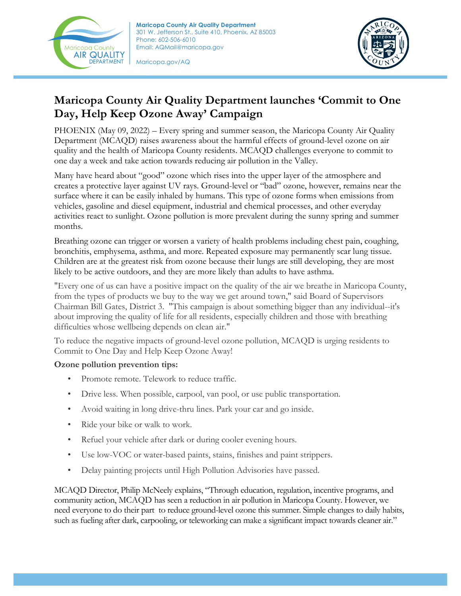

**Maricopa County Air Quality Department** 301 W. Jefferson St., Suite 410, Phoenix, AZ 85003 Phone: 602-506-6010 Email: AQMail@maricopa.gov

Maricopa.gov/AQ



## **Maricopa County Air Quality Department launches 'Commit to One Day, Help Keep Ozone Away' Campaign**

PHOENIX (May 09, 2022) – Every spring and summer season, the Maricopa County Air Quality Department (MCAQD) raises awareness about the harmful effects of ground-level ozone on air quality and the health of Maricopa County residents. MCAQD challenges everyone to commit to one day a week and take action towards reducing air pollution in the Valley.

Many have heard about "good" ozone which rises into the upper layer of the atmosphere and creates a protective layer against UV rays. Ground-level or "bad" ozone, however, remains near the surface where it can be easily inhaled by humans. This type of ozone forms when emissions from vehicles, gasoline and diesel equipment, industrial and chemical processes, and other everyday activities react to sunlight. Ozone pollution is more prevalent during the sunny spring and summer months.

Breathing ozone can trigger or worsen a variety of health problems including chest pain, coughing, bronchitis, emphysema, asthma, and more. Repeated exposure may permanently scar lung tissue. Children are at the greatest risk from ozone because their lungs are still developing, they are most likely to be active outdoors, and they are more likely than adults to have asthma.

"Every one of us can have a positive impact on the quality of the air we breathe in Maricopa County, from the types of products we buy to the way we get around town," said Board of Supervisors Chairman Bill Gates, District 3. "This campaign is about something bigger than any individual--it's about improving the quality of life for all residents, especially children and those with breathing difficulties whose wellbeing depends on clean air."

To reduce the negative impacts of ground-level ozone pollution, MCAQD is urging residents to Commit to One Day and Help Keep Ozone Away!

## **Ozone pollution prevention tips:**

- Promote remote. Telework to reduce traffic.
- Drive less. When possible, carpool, van pool, or use public transportation.
- Avoid waiting in long drive-thru lines. Park your car and go inside.
- Ride your bike or walk to work.
- Refuel your vehicle after dark or during cooler evening hours.
- Use low-VOC or water-based paints, stains, finishes and paint strippers.
- Delay painting projects until High Pollution Advisories have passed.

MCAQD Director, Philip McNeely explains, "Through education, regulation, incentive programs, and community action, MCAQD has seen a reduction in air pollution in Maricopa County. However, we need everyone to do their part to reduce ground-level ozone this summer. Simple changes to daily habits, such as fueling after dark, carpooling, or teleworking can make a significant impact towards cleaner air."